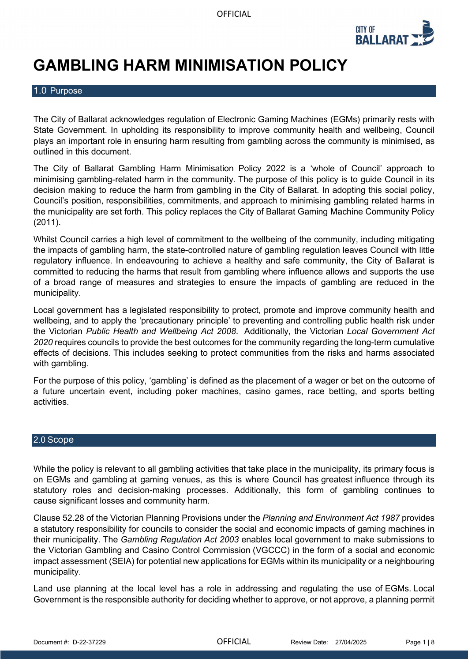

# **GAMBLING HARM MINIMISATION POLICY**

# 1.0 Purpose

The City of Ballarat acknowledges regulation of Electronic Gaming Machines (EGMs) primarily rests with State Government. In upholding its responsibility to improve community health and wellbeing, Council plays an important role in ensuring harm resulting from gambling across the community is minimised, as outlined in this document.

The City of Ballarat Gambling Harm Minimisation Policy 2022 is a 'whole of Council' approach to minimising gambling-related harm in the community. The purpose of this policy is to guide Council in its decision making to reduce the harm from gambling in the City of Ballarat. In adopting this social policy, Council's position, responsibilities, commitments, and approach to minimising gambling related harms in the municipality are set forth. This policy replaces the City of Ballarat Gaming Machine Community Policy (2011).

Whilst Council carries a high level of commitment to the wellbeing of the community, including mitigating the impacts of gambling harm, the state-controlled nature of gambling regulation leaves Council with little regulatory influence. In endeavouring to achieve a healthy and safe community, the City of Ballarat is committed to reducing the harms that result from gambling where influence allows and supports the use of a broad range of measures and strategies to ensure the impacts of gambling are reduced in the municipality.

Local government has a legislated responsibility to protect, promote and improve community health and wellbeing, and to apply the 'precautionary principle' to preventing and controlling public health risk under the Victorian *Public Health and Wellbeing Act 2008*. Additionally, the Victorian *Local Government Act 2020* requires councils to provide the best outcomes for the community regarding the long-term cumulative effects of decisions. This includes seeking to protect communities from the risks and harms associated with gambling.

For the purpose of this policy, 'gambling' is defined as the placement of a wager or bet on the outcome of a future uncertain event, including poker machines, casino games, race betting, and sports betting activities.

#### 2.0 Scope

While the policy is relevant to all gambling activities that take place in the municipality, its primary focus is on EGMs and gambling at gaming venues, as this is where Council has greatest influence through its statutory roles and decision-making processes. Additionally, this form of gambling continues to cause significant losses and community harm.

Clause 52.28 of the Victorian Planning Provisions under the *Planning and Environment Act 1987* provides a statutory responsibility for councils to consider the social and economic impacts of gaming machines in their municipality. The *Gambling Regulation Act 2003* enables local government to make submissions to the Victorian Gambling and Casino Control Commission (VGCCC) in the form of a social and economic impact assessment (SEIA) for potential new applications for EGMs within its municipality or a neighbouring municipality.

Land use planning at the local level has a role in addressing and regulating the use of EGMs. Local Government is the responsible authority for deciding whether to approve, or not approve, a planning permit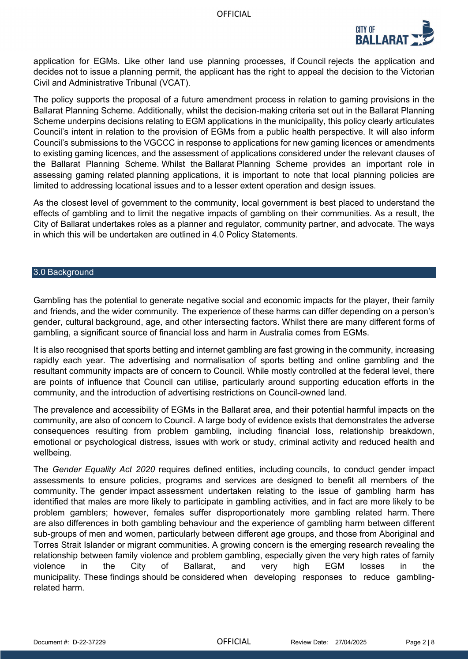

application for EGMs. Like other land use planning processes, if Council rejects the application and decides not to issue a planning permit, the applicant has the right to appeal the decision to the Victorian Civil and Administrative Tribunal (VCAT).

The policy supports the proposal of a future amendment process in relation to gaming provisions in the Ballarat Planning Scheme. Additionally, whilst the decision-making criteria set out in the Ballarat Planning Scheme underpins decisions relating to EGM applications in the municipality, this policy clearly articulates Council's intent in relation to the provision of EGMs from a public health perspective. It will also inform Council's submissions to the VGCCC in response to applications for new gaming licences or amendments to existing gaming licences, and the assessment of applications considered under the relevant clauses of the Ballarat Planning Scheme. Whilst the Ballarat Planning Scheme provides an important role in assessing gaming related planning applications, it is important to note that local planning policies are limited to addressing locational issues and to a lesser extent operation and design issues.

As the closest level of government to the community, local government is best placed to understand the effects of gambling and to limit the negative impacts of gambling on their communities. As a result, the City of Ballarat undertakes roles as a planner and regulator, community partner, and advocate. The ways in which this will be undertaken are outlined in 4.0 Policy Statements.

#### 3.0 Background

Gambling has the potential to generate negative social and economic impacts for the player, their family and friends, and the wider community. The experience of these harms can differ depending on a person's gender, cultural background, age, and other intersecting factors. Whilst there are many different forms of gambling, a significant source of financial loss and harm in Australia comes from EGMs.

It is also recognised that sports betting and internet gambling are fast growing in the community, increasing rapidly each year. The advertising and normalisation of sports betting and online gambling and the resultant community impacts are of concern to Council. While mostly controlled at the federal level, there are points of influence that Council can utilise, particularly around supporting education efforts in the community, and the introduction of advertising restrictions on Council-owned land.

The prevalence and accessibility of EGMs in the Ballarat area, and their potential harmful impacts on the community, are also of concern to Council. A large body of evidence exists that demonstrates the adverse consequences resulting from problem gambling, including financial loss, relationship breakdown, emotional or psychological distress, issues with work or study, criminal activity and reduced health and wellbeing.

The *Gender Equality Act 2020* requires defined entities, including councils, to conduct gender impact assessments to ensure policies, programs and services are designed to benefit all members of the community. The gender impact assessment undertaken relating to the issue of gambling harm has identified that males are more likely to participate in gambling activities, and in fact are more likely to be problem gamblers; however, females suffer disproportionately more gambling related harm. There are also differences in both gambling behaviour and the experience of gambling harm between different sub-groups of men and women, particularly between different age groups, and those from Aboriginal and Torres Strait Islander or migrant communities. A growing concern is the emerging research revealing the relationship between family violence and problem gambling, especially given the very high rates of family violence in the City of Ballarat, and very high EGM losses in the municipality. These findings should be considered when developing responses to reduce gamblingrelated harm.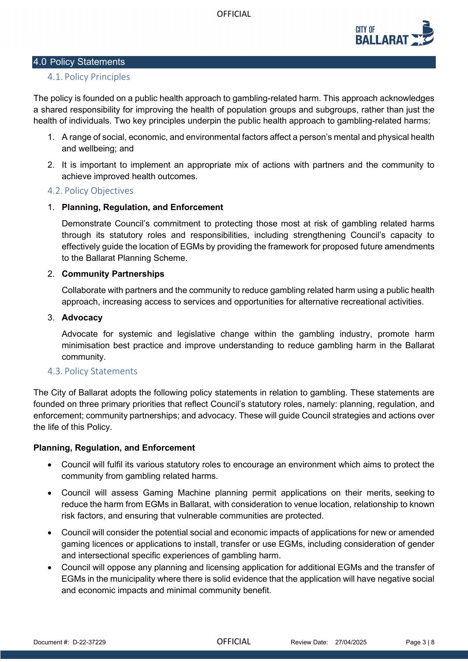

## 4.0 Policy Statements

# 4.1. Policy Principles

The policy is founded on a public health approach to gambling-related harm. This approach acknowledges a shared responsibility for improving the health of population groups and subgroups, rather than just the health of individuals. Two key principles underpin the public health approach to gambling-related harms:

- 1. A range of social, economic, and environmental factors affect a person's mental and physical health and wellbeing; and
- 2. It is important to implement an appropriate mix of actions with partners and the community to achieve improved health outcomes.

# 4.2. Policy Objectives

# 1. **Planning, Regulation, and Enforcement**

Demonstrate Council's commitment to protecting those most at risk of gambling related harms through its statutory roles and responsibilities, including strengthening Council's capacity to effectively guide the location of EGMs by providing the framework for proposed future amendments to the Ballarat Planning Scheme.

## 2. **Community Partnerships**

Collaborate with partners and the community to reduce gambling related harm using a public health approach, increasing access to services and opportunities for alternative recreational activities.

#### 3. **Advocacy**

Advocate for systemic and legislative change within the gambling industry, promote harm minimisation best practice and improve understanding to reduce gambling harm in the Ballarat community.

## 4.3. Policy Statements

The City of Ballarat adopts the following policy statements in relation to gambling. These statements are founded on three primary priorities that reflect Council's statutory roles, namely: planning, regulation, and enforcement; community partnerships; and advocacy. These will guide Council strategies and actions over the life of this Policy.

## **Planning, Regulation, and Enforcement**

- Council will fulfil its various statutory roles to encourage an environment which aims to protect the community from gambling related harms.
- Council will assess Gaming Machine planning permit applications on their merits, seeking to reduce the harm from EGMs in Ballarat, with consideration to venue location, relationship to known risk factors, and ensuring that vulnerable communities are protected.
- Council will consider the potential social and economic impacts of applications for new or amended gaming licences or applications to install, transfer or use EGMs, including consideration of gender and intersectional specific experiences of gambling harm.
- Council will oppose any planning and licensing application for additional EGMs and the transfer of EGMs in the municipality where there is solid evidence that the application will have negative social and economic impacts and minimal community benefit.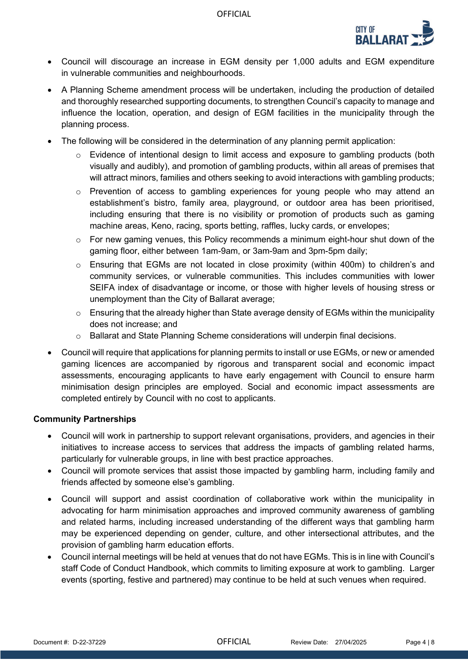

- Council will discourage an increase in EGM density per 1,000 adults and EGM expenditure in vulnerable communities and neighbourhoods.
- A Planning Scheme amendment process will be undertaken, including the production of detailed and thoroughly researched supporting documents, to strengthen Council's capacity to manage and influence the location, operation, and design of EGM facilities in the municipality through the planning process.
- The following will be considered in the determination of any planning permit application:
	- $\circ$  Evidence of intentional design to limit access and exposure to gambling products (both visually and audibly), and promotion of gambling products, within all areas of premises that will attract minors, families and others seeking to avoid interactions with gambling products;
	- $\circ$  Prevention of access to gambling experiences for young people who may attend an establishment's bistro, family area, playground, or outdoor area has been prioritised, including ensuring that there is no visibility or promotion of products such as gaming machine areas, Keno, racing, sports betting, raffles, lucky cards, or envelopes;
	- o For new gaming venues, this Policy recommends a minimum eight-hour shut down of the gaming floor, either between 1am-9am, or 3am-9am and 3pm-5pm daily;
	- $\circ$  Ensuring that EGMs are not located in close proximity (within 400m) to children's and community services, or vulnerable communities. This includes communities with lower SEIFA index of disadvantage or income, or those with higher levels of housing stress or unemployment than the City of Ballarat average;
	- $\circ$  Ensuring that the already higher than State average density of EGMs within the municipality does not increase; and
	- o Ballarat and State Planning Scheme considerations will underpin final decisions.
- Council will require that applications for planning permits to install or use EGMs, or new or amended gaming licences are accompanied by rigorous and transparent social and economic impact assessments, encouraging applicants to have early engagement with Council to ensure harm minimisation design principles are employed. Social and economic impact assessments are completed entirely by Council with no cost to applicants.

## **Community Partnerships**

- Council will work in partnership to support relevant organisations, providers, and agencies in their initiatives to increase access to services that address the impacts of gambling related harms, particularly for vulnerable groups, in line with best practice approaches.
- Council will promote services that assist those impacted by gambling harm, including family and friends affected by someone else's gambling.
- Council will support and assist coordination of collaborative work within the municipality in advocating for harm minimisation approaches and improved community awareness of gambling and related harms, including increased understanding of the different ways that gambling harm may be experienced depending on gender, culture, and other intersectional attributes, and the provision of gambling harm education efforts.
- Council internal meetings will be held at venues that do not have EGMs. This is in line with Council's staff Code of Conduct Handbook, which commits to limiting exposure at work to gambling. Larger events (sporting, festive and partnered) may continue to be held at such venues when required.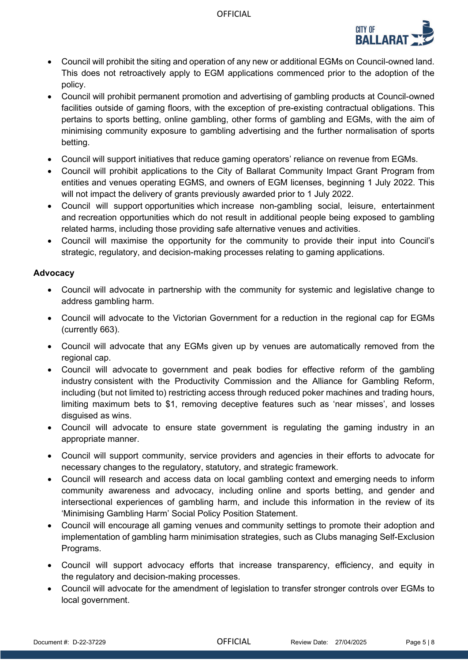**OFFICIAL** 



- Council will prohibit the siting and operation of any new or additional EGMs on Council-owned land. This does not retroactively apply to EGM applications commenced prior to the adoption of the policy.
- Council will prohibit permanent promotion and advertising of gambling products at Council-owned facilities outside of gaming floors, with the exception of pre-existing contractual obligations. This pertains to sports betting, online gambling, other forms of gambling and EGMs, with the aim of minimising community exposure to gambling advertising and the further normalisation of sports betting.
- Council will support initiatives that reduce gaming operators' reliance on revenue from EGMs.
- Council will prohibit applications to the City of Ballarat Community Impact Grant Program from entities and venues operating EGMS, and owners of EGM licenses, beginning 1 July 2022. This will not impact the delivery of grants previously awarded prior to 1 July 2022.
- Council will support opportunities which increase non-gambling social, leisure, entertainment and recreation opportunities which do not result in additional people being exposed to gambling related harms, including those providing safe alternative venues and activities.
- Council will maximise the opportunity for the community to provide their input into Council's strategic, regulatory, and decision-making processes relating to gaming applications.

# **Advocacy**

- Council will advocate in partnership with the community for systemic and legislative change to address gambling harm.
- Council will advocate to the Victorian Government for a reduction in the regional cap for EGMs (currently 663).
- Council will advocate that any EGMs given up by venues are automatically removed from the regional cap.
- Council will advocate to government and peak bodies for effective reform of the gambling industry consistent with the Productivity Commission and the Alliance for Gambling Reform, including (but not limited to) restricting access through reduced poker machines and trading hours, limiting maximum bets to \$1, removing deceptive features such as 'near misses', and losses disguised as wins.
- Council will advocate to ensure state government is regulating the gaming industry in an appropriate manner.
- Council will support community, service providers and agencies in their efforts to advocate for necessary changes to the regulatory, statutory, and strategic framework.
- Council will research and access data on local gambling context and emerging needs to inform community awareness and advocacy, including online and sports betting, and gender and intersectional experiences of gambling harm, and include this information in the review of its 'Minimising Gambling Harm' [Social Policy Position Statement.](https://www.ballarat.vic.gov.au/sites/default/files/2020-12/Preventing%20Gambling%20Harm%20PS%20FINAL.pdf)
- Council will encourage all gaming venues and community settings to promote their adoption and implementation of gambling harm minimisation strategies, such as Clubs managing Self-Exclusion Programs.
- Council will support advocacy efforts that increase transparency, efficiency, and equity in the regulatory and decision-making processes.
- Council will advocate for the amendment of legislation to transfer stronger controls over EGMs to local government.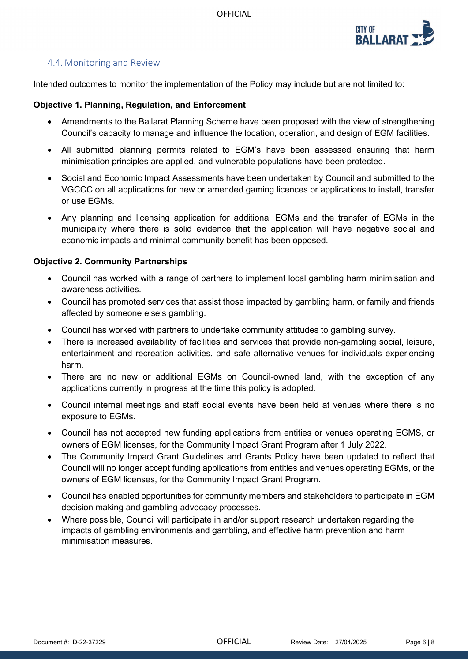

# 4.4. Monitoring and Review

Intended outcomes to monitor the implementation of the Policy may include but are not limited to:

#### **Objective 1. Planning, Regulation, and Enforcement**

- Amendments to the Ballarat Planning Scheme have been proposed with the view of strengthening Council's capacity to manage and influence the location, operation, and design of EGM facilities.
- All submitted planning permits related to EGM's have been assessed ensuring that harm minimisation principles are applied, and vulnerable populations have been protected.
- Social and Economic Impact Assessments have been undertaken by Council and submitted to the VGCCC on all applications for new or amended gaming licences or applications to install, transfer or use EGMs.
- Any planning and licensing application for additional EGMs and the transfer of EGMs in the municipality where there is solid evidence that the application will have negative social and economic impacts and minimal community benefit has been opposed.

## **Objective 2. Community Partnerships**

- Council has worked with a range of partners to implement local gambling harm minimisation and awareness activities.
- Council has promoted services that assist those impacted by gambling harm, or family and friends affected by someone else's gambling.
- Council has worked with partners to undertake community attitudes to gambling survey.
- There is increased availability of facilities and services that provide non-gambling social, leisure, entertainment and recreation activities, and safe alternative venues for individuals experiencing harm.
- There are no new or additional EGMs on Council-owned land, with the exception of any applications currently in progress at the time this policy is adopted.
- Council internal meetings and staff social events have been held at venues where there is no exposure to EGMs.
- Council has not accepted new funding applications from entities or venues operating EGMS, or owners of EGM licenses, for the Community Impact Grant Program after 1 July 2022.
- The Community Impact Grant Guidelines and Grants Policy have been updated to reflect that Council will no longer accept funding applications from entities and venues operating EGMs, or the owners of EGM licenses, for the Community Impact Grant Program.
- Council has enabled opportunities for community members and stakeholders to participate in EGM decision making and gambling advocacy processes.
- Where possible, Council will participate in and/or support research undertaken regarding the impacts of gambling environments and gambling, and effective harm prevention and harm minimisation measures.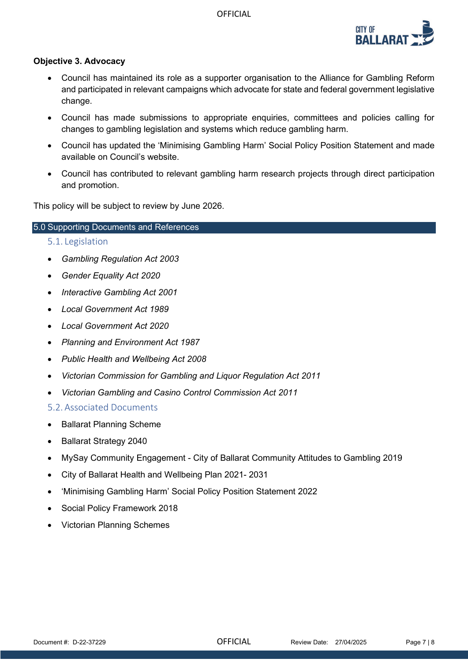

## **Objective 3. Advocacy**

- Council has maintained its role as a supporter organisation to the Alliance for Gambling Reform and participated in relevant campaigns which advocate for state and federal government legislative change.
- Council has made submissions to appropriate enquiries, committees and policies calling for changes to gambling legislation and systems which reduce gambling harm.
- Council has updated the 'Minimising [Gambling Harm' Social Policy Position Statement](https://www.ballarat.vic.gov.au/sites/default/files/2020-12/Preventing%20Gambling%20Harm%20PS%20FINAL.pdf) and made available on Council's website.
- Council has contributed to relevant gambling harm research projects through direct participation and promotion.

This policy will be subject to review by June 2026.

#### 5.0 Supporting Documents and References

- 5.1. Legislation
- *Gambling Regulation Act 2003*
- *Gender Equality Act 2020*
- *Interactive Gambling Act 2001*
- *Local Government Act 1989*
- *Local Government Act 2020*
- *Planning and Environment Act 1987*
- *Public Health and Wellbeing Act 2008*
- *Victorian Commission for Gambling and Liquor Regulation Act 2011*
- *Victorian Gambling and Casino Control Commission Act 2011*

5.2. Associated Documents

- Ballarat Planning Scheme
- Ballarat Strategy 2040
- MySay Community Engagement City of Ballarat Community Attitudes to Gambling 2019
- City of Ballarat Health and Wellbeing Plan 2021- 2031
- 'Minimising Gambling Harm' Social Policy Position Statement 2022
- Social Policy Framework 2018
- Victorian Planning Schemes